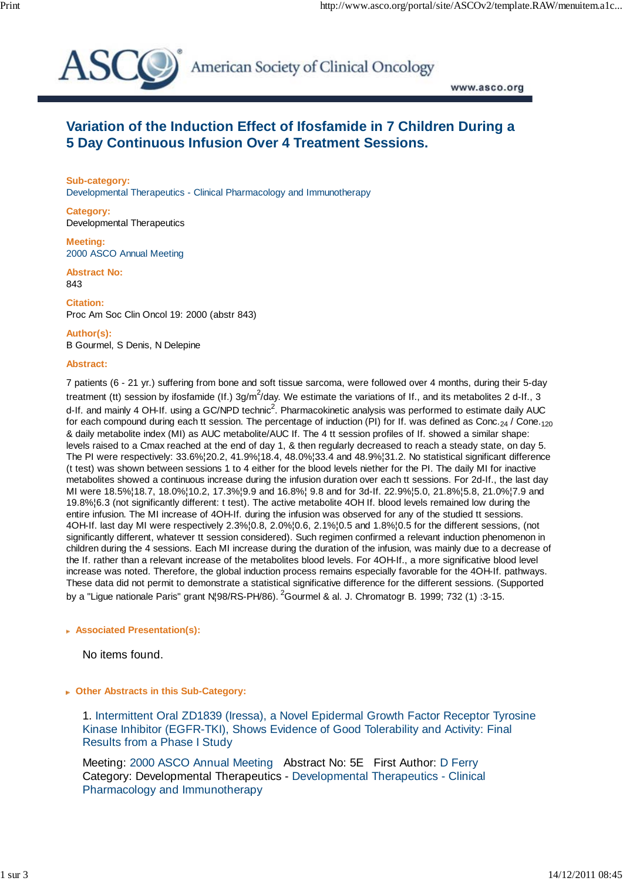

American Society of Clinical Oncology

www.asco.org

## **Variation of the Induction Effect of Ifosfamide in 7 Children During a 5 Day Continuous Infusion Over 4 Treatment Sessions.**

**Sub-category:** Developmental Therapeutics - Clinical Pharmacology and Immunotherapy

**Category:** Developmental Therapeutics

**Meeting:** 2000 ASCO Annual Meeting

**Abstract No:** 843

**Citation:** Proc Am Soc Clin Oncol 19: 2000 (abstr 843)

**Author(s):** B Gourmel, S Denis, N Delepine

## **Abstract:**

7 patients (6 - 21 yr.) suffering from bone and soft tissue sarcoma, were followed over 4 months, during their 5-day treatment (tt) session by ifosfamide (If.)  $3g/m^2$ /day. We estimate the variations of If., and its metabolites 2 d-If., 3 d-If. and mainly 4 OH-If. using a GC/NPD technic<sup>2</sup>. Pharmacokinetic analysis was performed to estimate daily AUC for each compound during each tt session. The percentage of induction (PI) for If. was defined as Conc.<sub>24</sub> / Cone.<sub>120</sub> & daily metabolite index (MI) as AUC metabolite/AUC If. The 4 tt session profiles of If. showed a similar shape: levels raised to a Cmax reached at the end of day 1, & then regularly decreased to reach a steady state, on day 5. The PI were respectively: 33.6%¦20.2, 41.9%¦18.4, 48.0%¦33.4 and 48.9%¦31.2. No statistical significant difference (t test) was shown between sessions 1 to 4 either for the blood levels niether for the PI. The daily MI for inactive metabolites showed a continuous increase during the infusion duration over each tt sessions. For 2d-If., the last day MI were 18.5%¦18.7, 18.0%¦10.2, 17.3%¦9.9 and 16.8%¦ 9.8 and for 3d-If. 22.9%¦5.0, 21.8%¦5.8, 21.0%¦7.9 and 19.8%¦6.3 (not significantly different: t test). The active metabolite 4OH If. blood levels remained low during the entire infusion. The MI increase of 4OH-If. during the infusion was observed for any of the studied tt sessions. 4OH-If. last day MI were respectively 2.3%¦0.8, 2.0%¦0.6, 2.1%¦0.5 and 1.8%¦0.5 for the different sessions, (not significantly different, whatever tt session considered). Such regimen confirmed a relevant induction phenomenon in children during the 4 sessions. Each MI increase during the duration of the infusion, was mainly due to a decrease of the If. rather than a relevant increase of the metabolites blood levels. For 4OH-If., a more significative blood level increase was noted. Therefore, the global induction process remains especially favorable for the 4OH-If. pathways. These data did not permit to demonstrate a statistical significative difference for the different sessions. (Supported by a "Ligue nationale Paris" grant NI98/RS-PH/86). <sup>2</sup>Gourmel & al. J. Chromatogr B. 1999; 732 (1) :3-15.

## **Associated Presentation(s):**

No items found.

 **Other Abstracts in this Sub-Category:**

 1. Intermittent Oral ZD1839 (Iressa), a Novel Epidermal Growth Factor Receptor Tyrosine Kinase Inhibitor (EGFR-TKI), Shows Evidence of Good Tolerability and Activity: Final Results from a Phase I Study

Meeting: 2000 ASCO Annual Meeting Abstract No: 5E First Author: D Ferry Category: Developmental Therapeutics - Developmental Therapeutics - Clinical Pharmacology and Immunotherapy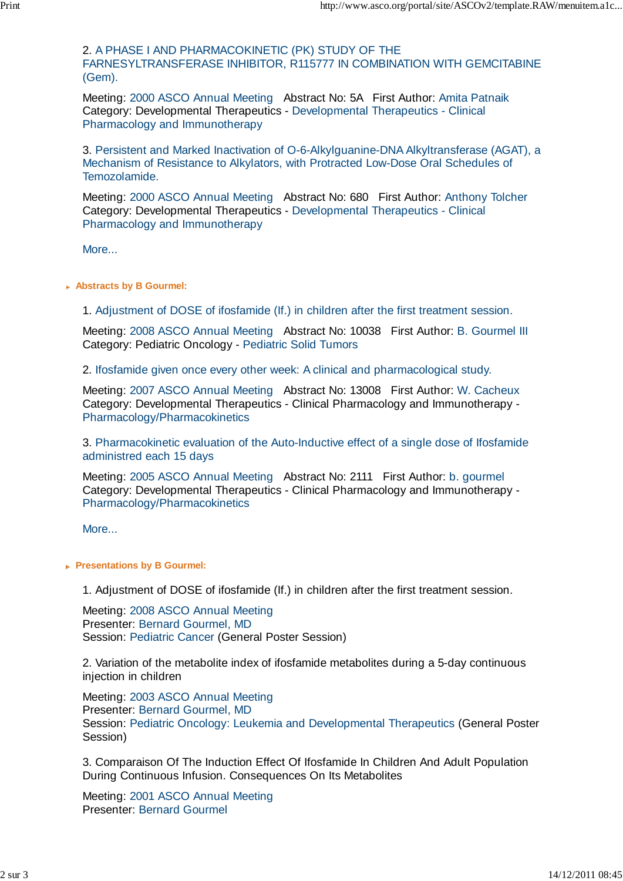2. A PHASE I AND PHARMACOKINETIC (PK) STUDY OF THE FARNESYLTRANSFERASE INHIBITOR, R115777 IN COMBINATION WITH GEMCITABINE (Gem).

Meeting: 2000 ASCO Annual Meeting Abstract No: 5A First Author: Amita Patnaik Category: Developmental Therapeutics - Developmental Therapeutics - Clinical Pharmacology and Immunotherapy

 3. Persistent and Marked Inactivation of O-6-Alkylguanine-DNA Alkyltransferase (AGAT), a Mechanism of Resistance to Alkylators, with Protracted Low-Dose Oral Schedules of Temozolamide.

Meeting: 2000 ASCO Annual Meeting Abstract No: 680 First Author: Anthony Tolcher Category: Developmental Therapeutics - Developmental Therapeutics - Clinical Pharmacology and Immunotherapy

More...

 **Abstracts by B Gourmel:**

1. Adjustment of DOSE of ifosfamide (If.) in children after the first treatment session.

Meeting: 2008 ASCO Annual Meeting Abstract No: 10038 First Author: B. Gourmel III Category: Pediatric Oncology - Pediatric Solid Tumors

2. Ifosfamide given once every other week: A clinical and pharmacological study.

Meeting: 2007 ASCO Annual Meeting Abstract No: 13008 First Author: W. Cacheux Category: Developmental Therapeutics - Clinical Pharmacology and Immunotherapy - Pharmacology/Pharmacokinetics

 3. Pharmacokinetic evaluation of the Auto-Inductive effect of a single dose of Ifosfamide administred each 15 days

Meeting: 2005 ASCO Annual Meeting Abstract No: 2111 First Author: b. gourmel Category: Developmental Therapeutics - Clinical Pharmacology and Immunotherapy - Pharmacology/Pharmacokinetics

More...

**Presentations by B Gourmel:** 

1. Adjustment of DOSE of ifosfamide (If.) in children after the first treatment session.

Meeting: 2008 ASCO Annual Meeting Presenter: Bernard Gourmel, MD Session: Pediatric Cancer (General Poster Session)

 2. Variation of the metabolite index of ifosfamide metabolites during a 5-day continuous injection in children

Meeting: 2003 ASCO Annual Meeting Presenter: Bernard Gourmel, MD Session: Pediatric Oncology: Leukemia and Developmental Therapeutics (General Poster Session)

 3. Comparaison Of The Induction Effect Of Ifosfamide In Children And Adult Population During Continuous Infusion. Consequences On Its Metabolites

Meeting: 2001 ASCO Annual Meeting Presenter: Bernard Gourmel